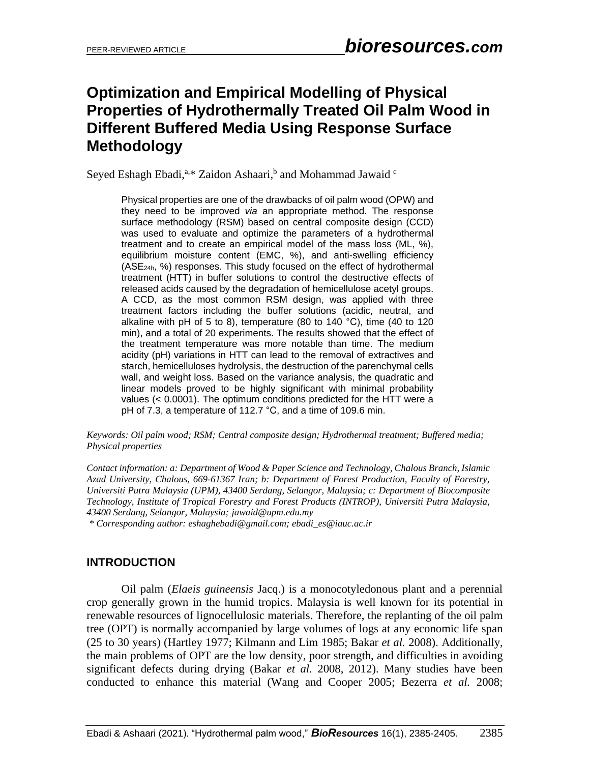# **Optimization and Empirical Modelling of Physical Properties of Hydrothermally Treated Oil Palm Wood in Different Buffered Media Using Response Surface Methodology**

Seyed Eshagh Ebadi, a.\* Zaidon Ashaari, <sup>b</sup> and Mohammad Jawaid <sup>c</sup>

Physical properties are one of the drawbacks of oil palm wood (OPW) and they need to be improved *via* an appropriate method. The response surface methodology (RSM) based on central composite design (CCD) was used to evaluate and optimize the parameters of a hydrothermal treatment and to create an empirical model of the mass loss (ML, %), equilibrium moisture content (EMC, %), and anti-swelling efficiency (ASE24h, %) responses. This study focused on the effect of hydrothermal treatment (HTT) in buffer solutions to control the destructive effects of released acids caused by the degradation of hemicellulose acetyl groups . A CCD, as the most common RSM design, was applied with three treatment factors including the buffer solutions (acidic, neutral, and alkaline with pH of 5 to 8), temperature (80 to 140 °С), time (40 to 120 min), and a total of 20 experiments. The results showed that the effect of the treatment temperature was more notable than time. The medium acidity (pH) variations in HTT can lead to the removal of extractives and starch, hemicelluloses hydrolysis, the destruction of the parenchymal cells wall, and weight loss. Based on the variance analysis, the quadratic and linear models proved to be highly significant with minimal probability values (< 0.0001). The optimum conditions predicted for the HTT were a pH of 7.3, a temperature of 112.7 °С, and a time of 109.6 min.

#### *Keywords: Oil palm wood; RSM; Central composite design; Hydrothermal treatment; Buffered media; Physical properties*

*Contact information: a: Department of Wood & Paper Science and Technology, Chalous Branch, Islamic Azad University, Chalous, 669-61367 Iran; b: Department of Forest Production, Faculty of Forestry, Universiti Putra Malaysia (UPM), 43400 Serdang, Selangor, Malaysia; c: Department of Biocomposite Technology, Institute of Tropical Forestry and Forest Products (INTROP), Universiti Putra Malaysia, 43400 Serdang, Selangor, Malaysia; jawaid@upm.edu.my*

*\* Corresponding author: eshaghebadi@gmail.com; [ebadi\\_es@iauc.ac.ir](mailto:ebadi_es@iauc.ac.ir)*

## **INTRODUCTION**

Oil palm (*Elaeis guineensis* Jacq.) is a monocotyledonous plant and a perennial crop generally grown in the humid tropics. Malaysia is well known for its potential in renewable resources of lignocellulosic materials. Therefore, the replanting of the oil palm tree (OPT) is normally accompanied by large volumes of logs at any economic life span (25 to 30 years) (Hartley 1977; Kilmann and Lim 1985; Bakar *et al.* 2008). Additionally, the main problems of OPT are the low density, poor strength, and difficulties in avoiding significant defects during drying (Bakar *et al.* 2008, 2012). Many studies have been conducted to enhance this material (Wang and Cooper 2005; Bezerra *et al.* 2008;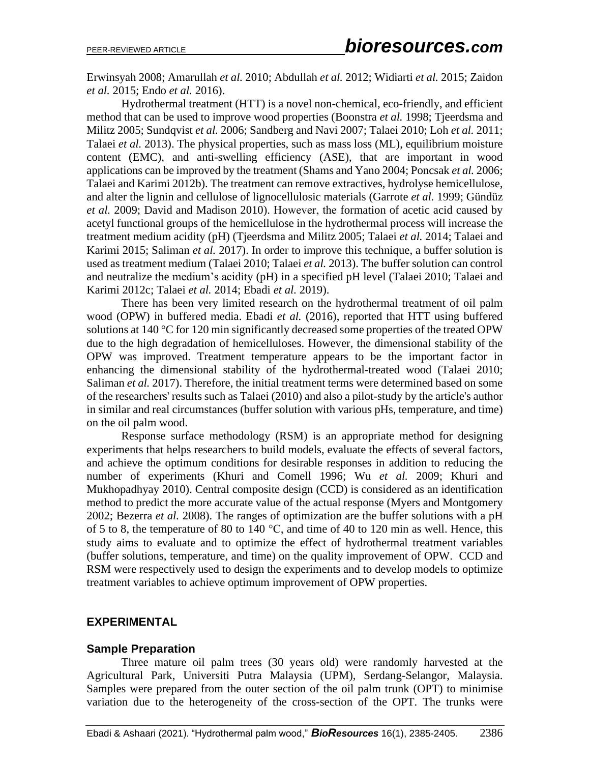Erwinsyah 2008; Amarullah *et al.* 2010; Abdullah *et al.* 2012; Widiarti *et al.* 2015; Zaidon *et al.* 2015; Endo *et al.* 2016).

Hydrothermal treatment (HTT) is a novel non-chemical, eco-friendly, and efficient method that can be used to improve wood properties (Boonstra *et al.* 1998; Tjeerdsma and Militz 2005; Sundqvist *et al.* 2006; Sandberg and Navi 2007; Talaei 2010; Loh *et al.* 2011; Talaei *et al.* 2013). The physical properties, such as mass loss (ML), equilibrium moisture content (EMC), and anti-swelling efficiency (ASE), that are important in wood applications can be improved by the treatment (Shams and Yano 2004; Poncsak *et al.* 2006; Talaei and Karimi 2012b). The treatment can remove extractives, hydrolyse hemicellulose, and alter the lignin and cellulose of lignocellulosic materials (Garrote *et al.* 1999; Gündüz *et al.* 2009; David and Madison 2010). However, the formation of acetic acid caused by acetyl functional groups of the hemicellulose in the hydrothermal process will increase the treatment medium acidity (pH) (Tjeerdsma and Militz 2005; Talaei *et al.* 2014; Talaei and Karimi 2015; Saliman *et al.* 2017). In order to improve this technique, a buffer solution is used as treatment medium (Talaei 2010; Talaei *et al.* 2013). The buffer solution can control and neutralize the medium's acidity (pH) in a specified pH level (Talaei 2010; Talaei and Karimi 2012c; Talaei *et al.* 2014; Ebadi *et al.* 2019).

There has been very limited research on the hydrothermal treatment of oil palm wood (OPW) in buffered media. Ebadi *et al.* (2016), reported that HTT using buffered solutions at 140 °C for 120 min significantly decreased some properties of the treated OPW due to the high degradation of hemicelluloses. However, the dimensional stability of the OPW was improved. Treatment temperature appears to be the important factor in enhancing the dimensional stability of the hydrothermal-treated wood (Talaei 2010; Saliman *et al.* 2017). Therefore, the initial treatment terms were determined based on some of the researchers' results such as Talaei (2010) and also a pilot-study by the article's author in similar and real circumstances (buffer solution with various pHs, temperature, and time) on the oil palm wood.

Response surface methodology (RSM) is an appropriate method for designing experiments that helps researchers to build models, evaluate the effects of several factors, and achieve the optimum conditions for desirable responses in addition to reducing the number of experiments (Khuri and Comell 1996; Wu *et al.* 2009; Khuri and Mukhopadhyay 2010). Central composite design (CCD) is considered as an identification method to predict the more accurate value of the actual response (Myers and Montgomery 2002; Bezerra *et al.* 2008). The ranges of optimization are the buffer solutions with a pH of 5 to 8, the temperature of 80 to  $140^{\circ}$ C, and time of 40 to 120 min as well. Hence, this study aims to evaluate and to optimize the effect of hydrothermal treatment variables (buffer solutions, temperature, and time) on the quality improvement of OPW. CCD and RSM were respectively used to design the experiments and to develop models to optimize treatment variables to achieve optimum improvement of OPW properties.

## **EXPERIMENTAL**

#### **Sample Preparation**

Three mature oil palm trees (30 years old) were randomly harvested at the Agricultural Park, Universiti Putra Malaysia (UPM), Serdang-Selangor, Malaysia. Samples were prepared from the outer section of the oil palm trunk (OPT) to minimise variation due to the heterogeneity of the cross-section of the OPT. The trunks were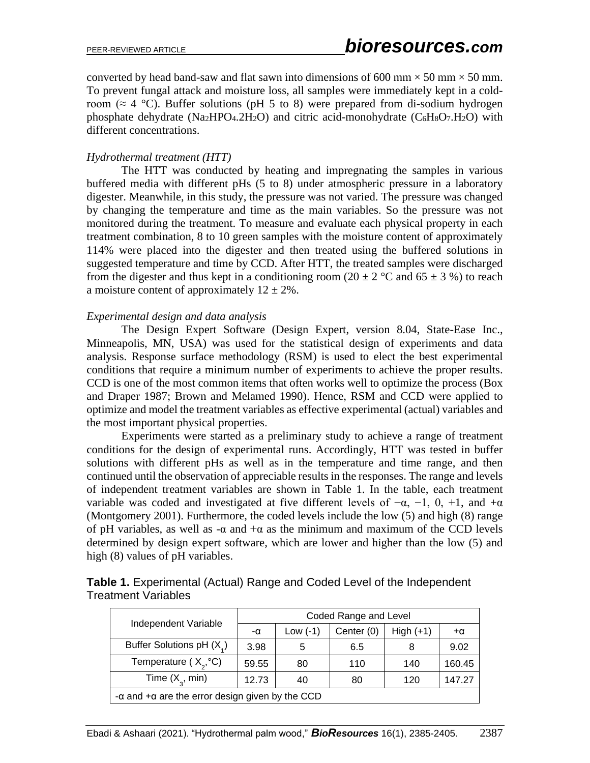converted by head band-saw and flat sawn into dimensions of 600 mm  $\times$  50 mm  $\times$  50 mm. To prevent fungal attack and moisture loss, all samples were immediately kept in a coldroom ( $\approx$  4 °C). Buffer solutions (pH 5 to 8) were prepared from di-sodium hydrogen phosphate dehydrate (Na<sub>2</sub>HPO<sub>4</sub>.2H<sub>2</sub>O) and citric acid-monohydrate ( $C_6H_8O_7.H_2O$ ) with different concentrations.

#### *Hydrothermal treatment (HTT)*

The HTT was conducted by heating and impregnating the samples in various buffered media with different pHs (5 to 8) under atmospheric pressure in a laboratory digester. Meanwhile, in this study, the pressure was not varied. The pressure was changed by changing the temperature and time as the main variables. So the pressure was not monitored during the treatment. To measure and evaluate each physical property in each treatment combination, 8 to 10 green samples with the moisture content of approximately 114% were placed into the digester and then treated using the buffered solutions in suggested temperature and time by CCD. After HTT, the treated samples were discharged from the digester and thus kept in a conditioning room (20  $\pm$  2 °C and 65  $\pm$  3 %) to reach a moisture content of approximately  $12 \pm 2\%$ .

#### *Experimental design and data analysis*

The Design Expert Software (Design Expert, version 8.04, State-Ease Inc., Minneapolis, MN, USA) was used for the statistical design of experiments and data analysis. Response surface methodology (RSM) is used to elect the best experimental conditions that require a minimum number of experiments to achieve the proper results. CCD is one of the most common items that often works well to optimize the process (Box and Draper 1987; Brown and Melamed 1990). Hence, RSM and CCD were applied to optimize and model the treatment variables as effective experimental (actual) variables and the most important physical properties.

Experiments were started as a preliminary study to achieve a range of treatment conditions for the design of experimental runs. Accordingly, HTT was tested in buffer solutions with different pHs as well as in the temperature and time range, and then continued until the observation of appreciable results in the responses. The range and levels of independent treatment variables are shown in Table 1. In the table, each treatment variable was coded and investigated at five different levels of  $-\alpha$ ,  $-1$ , 0,  $+1$ , and  $+\alpha$ (Montgomery 2001). Furthermore, the coded levels include the low (5) and high (8) range of pH variables, as well as  $-\alpha$  and  $+\alpha$  as the minimum and maximum of the CCD levels determined by design expert software, which are lower and higher than the low (5) and high (8) values of pH variables.

|                                                               |       | Coded Range and Level |            |             |           |  |  |  |  |
|---------------------------------------------------------------|-------|-----------------------|------------|-------------|-----------|--|--|--|--|
| Independent Variable                                          | -α    | Low $(-1)$            | Center (0) | $High (+1)$ | $+\alpha$ |  |  |  |  |
| Buffer Solutions pH (X)                                       | 3.98  | 5                     | 6.5        |             | 9.02      |  |  |  |  |
| Temperature ( $X,^{\circ}C$ )                                 | 59.55 | 80                    | 110        | 140         | 160.45    |  |  |  |  |
| Time $(X_{\alpha}$ , min)                                     | 12.73 | 40                    | 80         | 120         | 147.27    |  |  |  |  |
| $-\alpha$ and $+\alpha$ are the error design given by the CCD |       |                       |            |             |           |  |  |  |  |

| <b>Table 1.</b> Experimental (Actual) Range and Coded Level of the Independent |
|--------------------------------------------------------------------------------|
| <b>Treatment Variables</b>                                                     |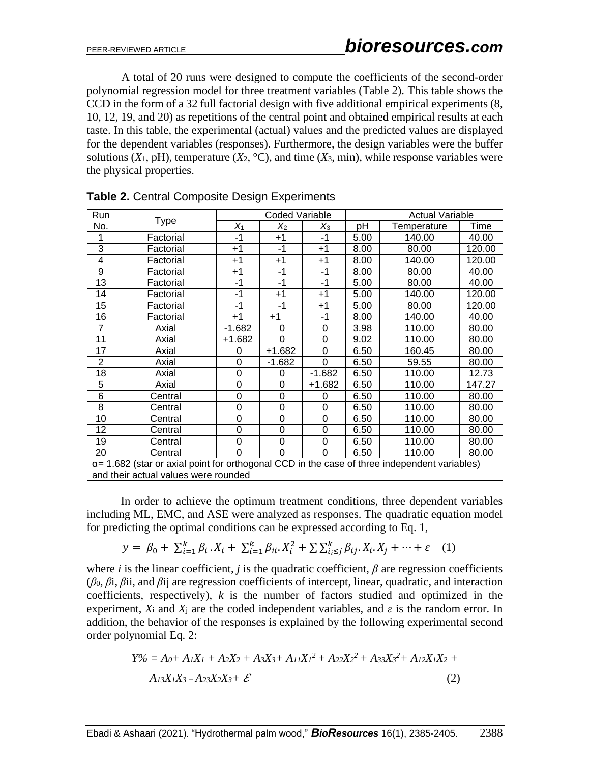A total of 20 runs were designed to compute the coefficients of the second-order polynomial regression model for three treatment variables (Table 2). This table shows the CCD in the form of a 32 full factorial design with five additional empirical experiments (8, 10, 12, 19, and 20) as repetitions of the central point and obtained empirical results at each taste. In this table, the experimental (actual) values and the predicted values are displayed for the dependent variables (responses). Furthermore, the design variables were the buffer solutions  $(X_1, pH)$ , temperature  $(X_2, {}^{\circ}C)$ , and time  $(X_3, min)$ , while response variables were the physical properties.

| Run            |                                                                                                      |          | Coded Variable |                  | <b>Actual Variable</b> |             |        |  |  |  |
|----------------|------------------------------------------------------------------------------------------------------|----------|----------------|------------------|------------------------|-------------|--------|--|--|--|
| No.            | <b>Type</b>                                                                                          | $X_1$    | $X_2$          | $X_3$            | рH                     | Temperature | Time   |  |  |  |
| 1              | Factorial                                                                                            | $-1$     | +1             | $-1$             | 5.00                   | 140.00      | 40.00  |  |  |  |
| 3              | Factorial                                                                                            | $+1$     | $-1$           | $+1$             | 8.00                   | 80.00       | 120.00 |  |  |  |
| 4              | Factorial                                                                                            | $+1$     | $+1$           | $^{\mathrm{+1}}$ | 8.00                   | 140.00      | 120.00 |  |  |  |
| 9              | Factorial                                                                                            | $+1$     | -1             | -1               | 8.00                   | 80.00       | 40.00  |  |  |  |
| 13             | Factorial                                                                                            | -1       | -1             | -1               | 5.00                   | 80.00       | 40.00  |  |  |  |
| 14             | Factorial                                                                                            | -1       | +1             | $+1$             | 5.00                   | 140.00      | 120.00 |  |  |  |
| 15             | Factorial                                                                                            | -1       | -1             | $^{+1}$          | 5.00                   | 80.00       | 120.00 |  |  |  |
| 16             | Factorial                                                                                            | $+1$     | $+1$           | -1               | 8.00                   | 140.00      | 40.00  |  |  |  |
| $\overline{7}$ | Axial                                                                                                | $-1.682$ | 0              | 0                | 3.98                   | 110.00      | 80.00  |  |  |  |
| 11             | Axial                                                                                                | $+1.682$ | 0              | $\Omega$         | 9.02                   | 110.00      | 80.00  |  |  |  |
| 17             | Axial                                                                                                | 0        | $+1.682$       | 0                | 6.50                   | 160.45      | 80.00  |  |  |  |
| $\overline{2}$ | Axial                                                                                                | 0        | $-1.682$       | $\Omega$         | 6.50                   | 59.55       | 80.00  |  |  |  |
| 18             | Axial                                                                                                | 0        | 0              | $-1.682$         | 6.50                   | 110.00      | 12.73  |  |  |  |
| 5              | Axial                                                                                                | 0        | 0              | $+1.682$         | 6.50                   | 110.00      | 147.27 |  |  |  |
| 6              | Central                                                                                              | 0        | 0              | 0                | 6.50                   | 110.00      | 80.00  |  |  |  |
| 8              | Central                                                                                              | 0        | 0              | 0                | 6.50                   | 110.00      | 80.00  |  |  |  |
| 10             | Central                                                                                              | 0        | 0              | 0                | 6.50                   | 110.00      | 80.00  |  |  |  |
| 12             | Central                                                                                              | 0        | 0              | 0                | 6.50                   | 110.00      | 80.00  |  |  |  |
| 19             | Central                                                                                              | 0        | 0              | 0                | 6.50                   | 110.00      | 80.00  |  |  |  |
| 20             | Central                                                                                              | 0        | 0              | 0                | 6.50                   | 110.00      | 80.00  |  |  |  |
|                | $\alpha$ = 1.682 (star or axial point for orthogonal CCD in the case of three independent variables) |          |                |                  |                        |             |        |  |  |  |
|                | and their actual values were rounded                                                                 |          |                |                  |                        |             |        |  |  |  |

**Table 2.** Central Composite Design Experiments

In order to achieve the optimum treatment conditions, three dependent variables including ML, EMC, and ASE were analyzed as responses. The quadratic equation model for predicting the optimal conditions can be expressed according to Eq. 1,

$$
y = \beta_0 + \sum_{i=1}^k \beta_i \cdot X_i + \sum_{i=1}^k \beta_{ii} \cdot X_i^2 + \sum \sum_{i_i \le j}^k \beta_{ij} \cdot X_i \cdot X_j + \dots + \varepsilon \quad (1)
$$

where *i* is the linear coefficient, *j* is the quadratic coefficient,  $\beta$  are regression coefficients (*β*0, *β*i, *β*ii, and *β*ij are regression coefficients of intercept, linear, quadratic, and interaction coefficients, respectively), *k* is the number of factors studied and optimized in the experiment,  $X_i$  and  $X_j$  are the coded independent variables, and  $\varepsilon$  is the random error. In addition, the behavior of the responses is explained by the following experimental second order polynomial Eq. 2:

$$
Y\% = A_0 + A_1X_1 + A_2X_2 + A_3X_3 + A_{11}X_1^2 + A_{22}X_2^2 + A_{33}X_3^2 + A_{12}X_1X_2 + A_{13}X_1X_3 + A_{23}X_2X_3 + \mathcal{E}
$$
\n(2)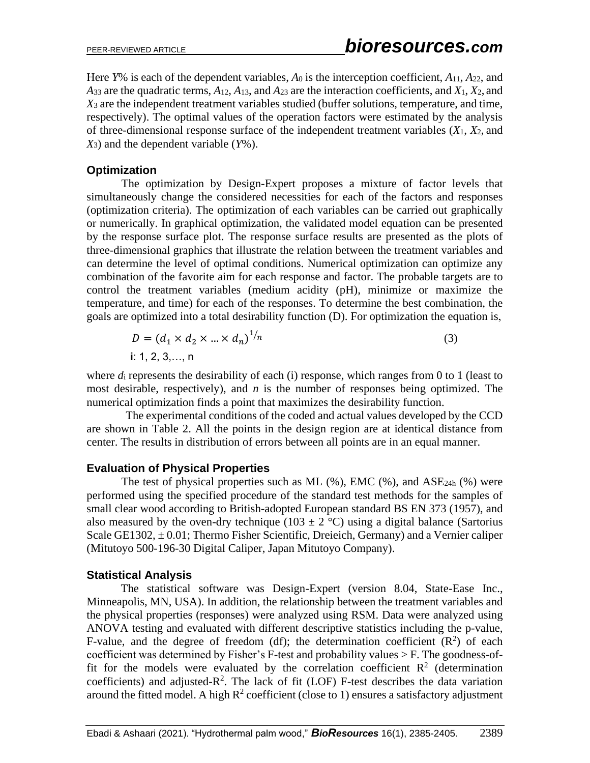Here *Y*% is each of the dependent variables, *A*<sup>0</sup> is the interception coefficient, *A*11, *A*22, and *A*<sup>33</sup> are the quadratic terms, *A*12, *A*13, and *A*<sup>23</sup> are the interaction coefficients, and *X*1, *X*2, and *X*<sup>3</sup> are the independent treatment variables studied (buffer solutions, temperature, and time, respectively). The optimal values of the operation factors were estimated by the analysis of three-dimensional response surface of the independent treatment variables (*X*1, *X*2, and *X*3) and the dependent variable (*Y*%).

#### **Optimization**

The optimization by Design-Expert proposes a mixture of factor levels that simultaneously change the considered necessities for each of the factors and responses (optimization criteria). The optimization of each variables can be carried out graphically or numerically. In graphical optimization, the validated model equation can be presented by the response surface plot. The response surface results are presented as the plots of three-dimensional graphics that illustrate the relation between the treatment variables and can determine the level of optimal conditions. Numerical optimization can optimize any combination of the favorite aim for each response and factor. The probable targets are to control the treatment variables (medium acidity (pH), minimize or maximize the temperature, and time) for each of the responses. To determine the best combination, the goals are optimized into a total desirability function (D). For optimization the equation is,

$$
D = (d_1 \times d_2 \times ... \times d_n)^{1/n}
$$
  
i: 1, 2, 3, ..., n

where  $d_i$  represents the desirability of each (i) response, which ranges from 0 to 1 (least to most desirable, respectively), and *n* is the number of responses being optimized. The numerical optimization finds a point that maximizes the desirability function.

The experimental conditions of the coded and actual values developed by the CCD are shown in Table 2. All the points in the design region are at identical distance from center. The results in distribution of errors between all points are in an equal manner.

## **Evaluation of Physical Properties**

The test of physical properties such as ML  $(\%)$ , EMC  $(\%)$ , and ASE<sub>24h</sub>  $(\%)$  were performed using the specified procedure of the standard test methods for the samples of small clear wood according to British-adopted European standard BS EN 373 (1957), and also measured by the oven-dry technique (103  $\pm$  2 °C) using a digital balance (Sartorius Scale GE1302,  $\pm$  0.01; Thermo Fisher Scientific, Dreieich, Germany) and a Vernier caliper (Mitutoyo 500-196-30 Digital Caliper, Japan Mitutoyo Company).

## **Statistical Analysis**

The statistical software was Design-Expert (version 8.04, State-Ease Inc., Minneapolis, MN, USA). In addition, the relationship between the treatment variables and the physical properties (responses) were analyzed using RSM. Data were analyzed using ANOVA testing and evaluated with different descriptive statistics including the p-value, F-value, and the degree of freedom (df); the determination coefficient  $(R^2)$  of each coefficient was determined by Fisher's F-test and probability values > F. The goodness-offit for the models were evaluated by the correlation coefficient  $\mathbb{R}^2$  (determination coefficients) and adjusted- $R^2$ . The lack of fit (LOF) F-test describes the data variation around the fitted model. A high  $R^2$  coefficient (close to 1) ensures a satisfactory adjustment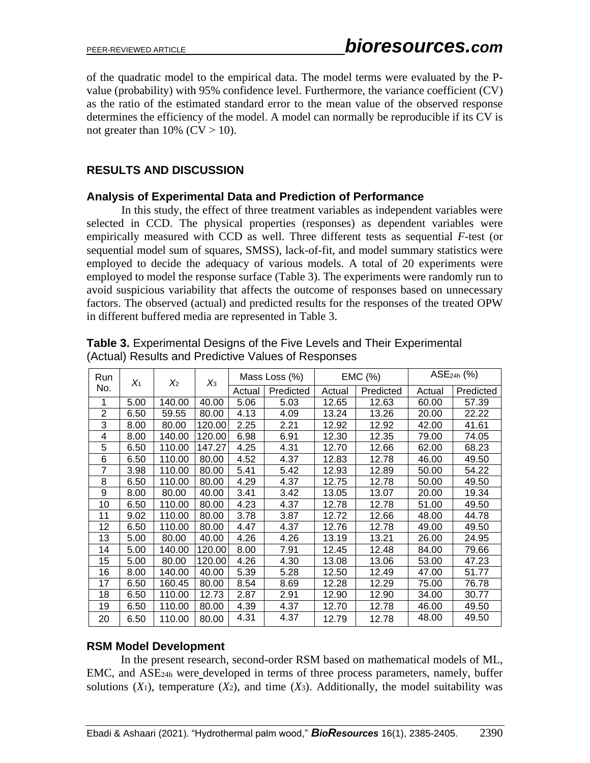of the quadratic model to the empirical data. The model terms were evaluated by the Pvalue (probability) with 95% confidence level. Furthermore, the variance coefficient (CV) as the ratio of the estimated standard error to the mean value of the observed response determines the efficiency of the model. A model can normally be reproducible if its CV is not greater than  $10\%$  (CV  $> 10$ ).

# **RESULTS AND DISCUSSION**

## **Analysis of Experimental Data and Prediction of Performance**

In this study, the effect of three treatment variables as independent variables were selected in CCD. The physical properties (responses) as dependent variables were empirically measured with CCD as well. Three different tests as sequential *F*-test (or sequential model sum of squares, SMSS), lack-of-fit, and model summary statistics were employed to decide the adequacy of various models. A total of 20 experiments were employed to model the response surface (Table 3). The experiments were randomly run to avoid suspicious variability that affects the outcome of responses based on unnecessary factors. The observed (actual) and predicted results for the responses of the treated OPW in different buffered media are represented in Table 3.

| Run            | $X_1$ | X <sub>2</sub> | $X_3$  |        | Mass Loss (%) |                     | EMC (%) |        | $ASE24h$ (%) |
|----------------|-------|----------------|--------|--------|---------------|---------------------|---------|--------|--------------|
| No.            |       |                |        | Actual | Predicted     | Predicted<br>Actual |         | Actual | Predicted    |
| 1              | 5.00  | 140.00         | 40.00  | 5.06   | 5.03          | 12.65               | 12.63   | 60.00  | 57.39        |
| $\overline{2}$ | 6.50  | 59.55          | 80.00  | 4.13   | 4.09          | 13.24               | 13.26   | 20.00  | 22.22        |
| 3              | 8.00  | 80.00          | 120.00 | 2.25   | 2.21          | 12.92               | 12.92   | 42.00  | 41.61        |
| 4              | 8.00  | 140.00         | 120.00 | 6.98   | 6.91          | 12.30               | 12.35   | 79.00  | 74.05        |
| 5              | 6.50  | 110.00         | 147.27 | 4.25   | 4.31          | 12.70               | 12.66   | 62.00  | 68.23        |
| 6              | 6.50  | 110.00         | 80.00  | 4.52   | 4.37          | 12.83               | 12.78   | 46.00  | 49.50        |
| 7              | 3.98  | 110.00         | 80.00  | 5.41   | 5.42          | 12.93               | 12.89   | 50.00  | 54.22        |
| 8              | 6.50  | 110.00         | 80.00  | 4.29   | 4.37          | 12.75               | 12.78   | 50.00  | 49.50        |
| 9              | 8.00  | 80.00          | 40.00  | 3.41   | 3.42          | 13.05               | 13.07   | 20.00  | 19.34        |
| 10             | 6.50  | 110.00         | 80.00  | 4.23   | 4.37          | 12.78               | 12.78   | 51.00  | 49.50        |
| 11             | 9.02  | 110.00         | 80.00  | 3.78   | 3.87          | 12.72               | 12.66   | 48.00  | 44.78        |
| 12             | 6.50  | 110.00         | 80.00  | 4.47   | 4.37          | 12.76               | 12.78   | 49.00  | 49.50        |
| 13             | 5.00  | 80.00          | 40.00  | 4.26   | 4.26          | 13.19               | 13.21   | 26.00  | 24.95        |
| 14             | 5.00  | 140.00         | 120.00 | 8.00   | 7.91          | 12.45               | 12.48   | 84.00  | 79.66        |
| 15             | 5.00  | 80.00          | 120.00 | 4.26   | 4.30          | 13.08               | 13.06   | 53.00  | 47.23        |
| 16             | 8.00  | 140.00         | 40.00  | 5.39   | 5.28          | 12.50               | 12.49   | 47.00  | 51.77        |
| 17             | 6.50  | 160.45         | 80.00  | 8.54   | 8.69          | 12.28               | 12.29   | 75.00  | 76.78        |
| 18             | 6.50  | 110.00         | 12.73  | 2.87   | 2.91          | 12.90               | 12.90   | 34.00  | 30.77        |
| 19             | 6.50  | 110.00         | 80.00  | 4.39   | 4.37          | 12.70               | 12.78   | 46.00  | 49.50        |
| 20             | 6.50  | 110.00         | 80.00  | 4.31   | 4.37          | 12.79               | 12.78   | 48.00  | 49.50        |

|  | <b>Table 3.</b> Experimental Designs of the Five Levels and Their Experimental |
|--|--------------------------------------------------------------------------------|
|  | (Actual) Results and Predictive Values of Responses                            |

## **RSM Model Development**

In the present research, second-order RSM based on mathematical models of ML, EMC, and ASE24h were developed in terms of three process parameters, namely, buffer solutions  $(X_1)$ , temperature  $(X_2)$ , and time  $(X_3)$ . Additionally, the model suitability was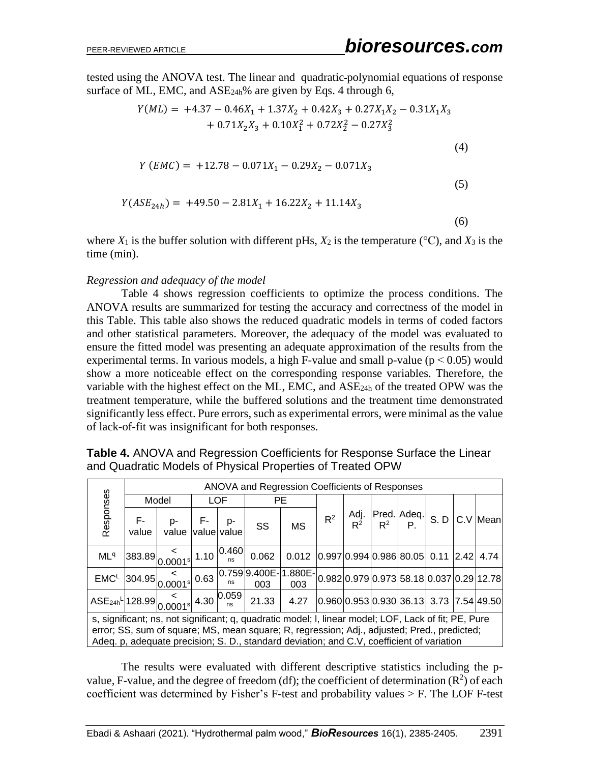tested using the ANOVA test. The linear and quadratic polynomial equations of response surface of ML, EMC, and  $ASE_{24h}\%$  are given by Eqs. 4 through 6,

$$
Y(ML) = +4.37 - 0.46X_1 + 1.37X_2 + 0.42X_3 + 0.27X_1X_2 - 0.31X_1X_3
$$
  
+ 0.71X<sub>2</sub>X<sub>3</sub> + 0.10X<sub>1</sub><sup>2</sup> + 0.72X<sub>2</sub><sup>2</sup> - 0.27X<sub>3</sub><sup>2</sup>

$$
Y(EMC) = +12.78 - 0.071X_1 - 0.29X_2 - 0.071X_3
$$

$$
Y(ASE_{24h}) = +49.50 - 2.81X_1 + 16.22X_2 + 11.14X_3
$$

(6)

(4)

(5)

where  $X_1$  is the buffer solution with different pHs,  $X_2$  is the temperature ( $\rm{°C}$ ), and  $X_3$  is the time (min).

#### *Regression and adequacy of the model*

Table 4 shows regression coefficients to optimize the process conditions. The ANOVA results are summarized for testing the accuracy and correctness of the model in this Table. This table also shows the reduced quadratic models in terms of coded factors and other statistical parameters. Moreover, the adequacy of the model was evaluated to ensure the fitted model was presenting an adequate approximation of the results from the experimental terms. In various models, a high F-value and small p-value ( $p < 0.05$ ) would show a more noticeable effect on the corresponding response variables. Therefore, the variable with the highest effect on the ML, EMC, and ASE24h of the treated OPW was the treatment temperature, while the buffered solutions and the treatment time demonstrated significantly less effect. Pure errors, such as experimental errors, were minimal as the value of lack-of-fit was insignificant for both responses.

|                                                                                                  |                                                                                                                                                                                                                                                                                                  | ANOVA and Regression Coefficients of Responses |  |            |                                                                                                                                                                                   |                                                       |       |  |  |                                              |  |  |  |  |  |
|--------------------------------------------------------------------------------------------------|--------------------------------------------------------------------------------------------------------------------------------------------------------------------------------------------------------------------------------------------------------------------------------------------------|------------------------------------------------|--|------------|-----------------------------------------------------------------------------------------------------------------------------------------------------------------------------------|-------------------------------------------------------|-------|--|--|----------------------------------------------|--|--|--|--|--|
|                                                                                                  |                                                                                                                                                                                                                                                                                                  | Model                                          |  | <b>LOF</b> |                                                                                                                                                                                   | <b>PE</b>                                             |       |  |  |                                              |  |  |  |  |  |
| Responses                                                                                        | $F-$<br>value                                                                                                                                                                                                                                                                                    | $p  F  p -$<br>value value value               |  |            | SS                                                                                                                                                                                | <b>MS</b>                                             | $R^2$ |  |  | Adj. Pred. Adeq. S. D C. V Mean              |  |  |  |  |  |
| ML <sup>q</sup>                                                                                  |                                                                                                                                                                                                                                                                                                  |                                                |  |            | $\left 383.89\right _0 0.0001$ s 1.10 $\left 0.460\right $ 0.062                                                                                                                  | $0.012$ $ 0.997 0.994 0.986 80.05 0.11$ $ 2.42 4.74 $ |       |  |  |                                              |  |  |  |  |  |
|                                                                                                  |                                                                                                                                                                                                                                                                                                  |                                                |  |            | $\frac{\text{EMC}^{\text{L}}}{204.95}\Big _{0.0001^{\text{s}}} < 0.63 \Big _{0.759 \text{ B} \cdot 400 \text{ E}^{-}} \Big _{0.02 \text{ E}^{\text{}}}\Big _{0.02 \text{ E}^{-}}$ |                                                       |       |  |  | $ 0.982 0.979 0.973 58.18 0.037 0.29 12.78 $ |  |  |  |  |  |
| ASE <sub>24h</sub> <sup>L</sup>  128.99  <sub>0.0001</sub> s 4.30 $\frac{8}{n}$ 0.059 21.33 4.27 |                                                                                                                                                                                                                                                                                                  |                                                |  |            |                                                                                                                                                                                   |                                                       |       |  |  | $ 0.960 0.953 0.930 36.13 3.73 7.54 49.50 $  |  |  |  |  |  |
|                                                                                                  | s, significant; ns, not significant; q, quadratic model; I, linear model; LOF, Lack of fit; PE, Pure<br>error; SS, sum of square; MS, mean square; R, regression; Adj., adjusted; Pred., predicted;<br>Adeq. p, adequate precision; S. D., standard deviation; and C.V, coefficient of variation |                                                |  |            |                                                                                                                                                                                   |                                                       |       |  |  |                                              |  |  |  |  |  |

**Table 4.** ANOVA and Regression Coefficients for Response Surface the Linear and Quadratic Models of Physical Properties of Treated OPW

The results were evaluated with different descriptive statistics including the pvalue, F-value, and the degree of freedom (df); the coefficient of determination  $(R^2)$  of each coefficient was determined by Fisher's F-test and probability values > F. The LOF F-test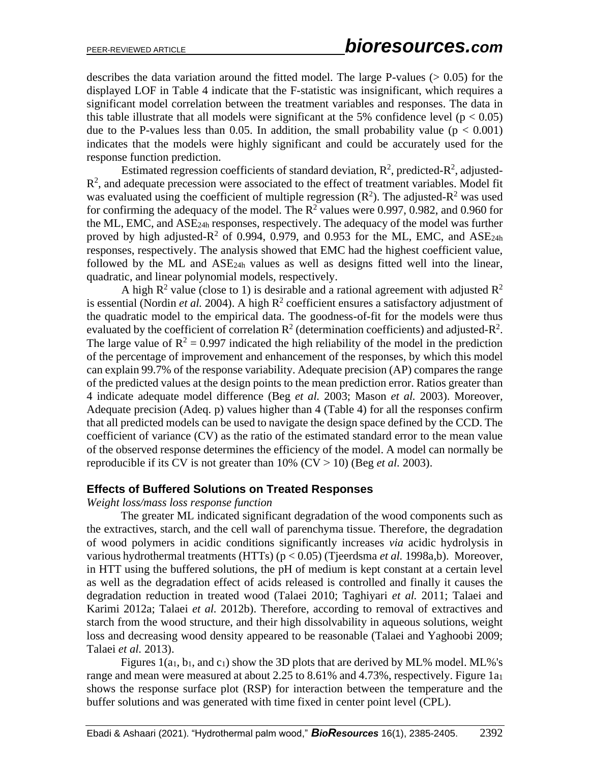describes the data variation around the fitted model. The large P-values  $(> 0.05)$  for the displayed LOF in Table 4 indicate that the F-statistic was insignificant, which requires a significant model correlation between the treatment variables and responses. The data in this table illustrate that all models were significant at the 5% confidence level ( $p < 0.05$ ) due to the P-values less than 0.05. In addition, the small probability value ( $p < 0.001$ ) indicates that the models were highly significant and could be accurately used for the response function prediction.

Estimated regression coefficients of standard deviation,  $\mathbb{R}^2$ , predicted- $\mathbb{R}^2$ , adjusted- $R<sup>2</sup>$ , and adequate precession were associated to the effect of treatment variables. Model fit was evaluated using the coefficient of multiple regression  $(R^2)$ . The adjusted- $R^2$  was used for confirming the adequacy of the model. The  $R^2$  values were 0.997, 0.982, and 0.960 for the ML, EMC, and ASE24h responses, respectively. The adequacy of the model was further proved by high adjusted- $R^2$  of 0.994, 0.979, and 0.953 for the ML, EMC, and ASE<sub>24h</sub> responses, respectively. The analysis showed that EMC had the highest coefficient value, followed by the ML and ASE24h values as well as designs fitted well into the linear, quadratic, and linear polynomial models, respectively.

A high  $R^2$  value (close to 1) is desirable and a rational agreement with adjusted  $R^2$ is essential (Nordin *et al.* 2004). A high  $R^2$  coefficient ensures a satisfactory adjustment of the quadratic model to the empirical data. The goodness-of-fit for the models were thus evaluated by the coefficient of correlation  $\mathbb{R}^2$  (determination coefficients) and adjusted- $\mathbb{R}^2$ . The large value of  $R^2 = 0.997$  indicated the high reliability of the model in the prediction of the percentage of improvement and enhancement of the responses, by which this model can explain 99.7% of the response variability. Adequate precision (AP) compares the range of the predicted values at the design points to the mean prediction error. Ratios greater than 4 indicate adequate model difference (Beg *et al.* 2003; Mason *et al.* 2003). Moreover, Adequate precision (Adeq. p) values higher than 4 (Table 4) for all the responses confirm that all predicted models can be used to navigate the design space defined by the CCD. The coefficient of variance (CV) as the ratio of the estimated standard error to the mean value of the observed response determines the efficiency of the model. A model can normally be reproducible if its CV is not greater than  $10\%$  (CV  $> 10$ ) (Beg *et al.* 2003).

#### **Effects of Buffered Solutions on Treated Responses**

#### *Weight loss/mass loss response function*

The greater ML indicated significant degradation of the wood components such as the extractives, starch, and the cell wall of parenchyma tissue. Therefore, the degradation of wood polymers in acidic conditions significantly increases *via* acidic hydrolysis in various hydrothermal treatments (HTTs) (p < 0.05) (Tjeerdsma *et al.* 1998a,b). Moreover, in HTT using the buffered solutions, the pH of medium is kept constant at a certain level as well as the degradation effect of acids released is controlled and finally it causes the degradation reduction in treated wood (Talaei 2010; Taghiyari *et al.* 2011; Talaei and Karimi 2012a; Talaei *et al.* 2012b). Therefore, according to removal of extractives and starch from the wood structure, and their high dissolvability in aqueous solutions, weight loss and decreasing wood density appeared to be reasonable (Talaei and Yaghoobi 2009; Talaei *et al.* 2013).

Figures 1(a1, b1, and c1) show the 3D plots that are derived by ML% model. ML%'s range and mean were measured at about 2.25 to 8.61% and 4.73%, respectively. Figure 1a<sub>1</sub> shows the response surface plot (RSP) for interaction between the temperature and the buffer solutions and was generated with time fixed in center point level (CPL).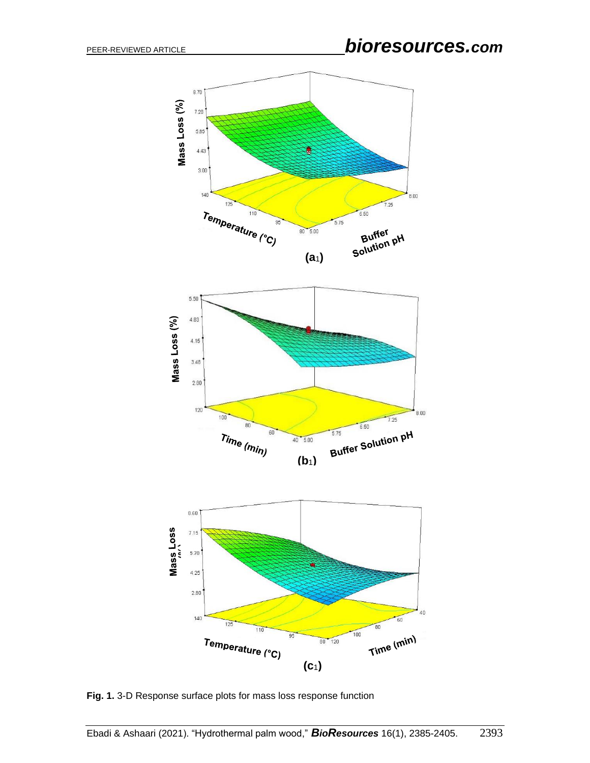

**Fig. 1.** 3-D Response surface plots for mass loss response function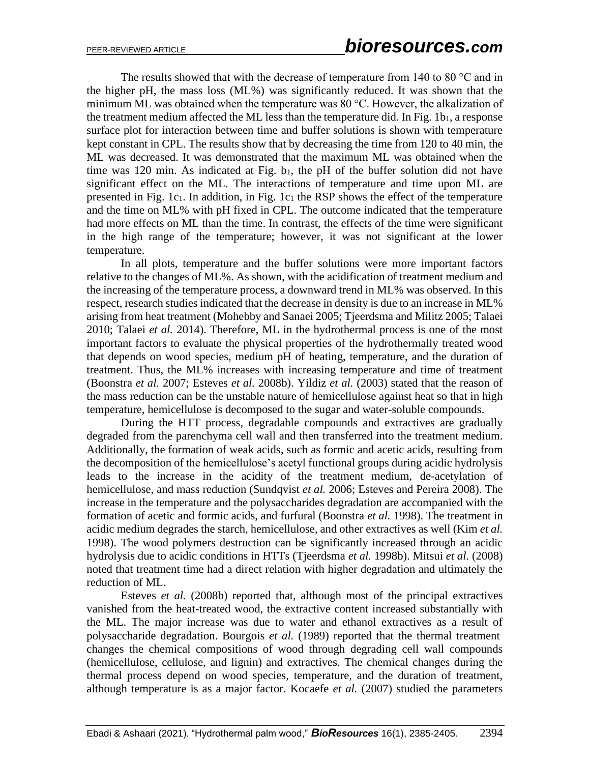The results showed that with the decrease of temperature from 140 to 80  $^{\circ}$ C and in the higher pH, the mass loss (ML%) was significantly reduced. It was shown that the minimum ML was obtained when the temperature was 80 °С. However, the alkalization of the treatment medium affected the ML less than the temperature did. In Fig.  $1b_1$ , a response surface plot for interaction between time and buffer solutions is shown with temperature kept constant in CPL. The results show that by decreasing the time from 120 to 40 min, the ML was decreased. It was demonstrated that the maximum ML was obtained when the time was 120 min. As indicated at Fig.  $b_1$ , the pH of the buffer solution did not have significant effect on the ML. The interactions of temperature and time upon ML are presented in Fig. 1c1. In addition, in Fig. 1c<sup>1</sup> the RSP shows the effect of the temperature and the time on ML% with pH fixed in CPL. The outcome indicated that the temperature had more effects on ML than the time. In contrast, the effects of the time were significant in the high range of the temperature; however, it was not significant at the lower temperature.

In all plots, temperature and the buffer solutions were more important factors relative to the changes of ML%. As shown, with the acidification of treatment medium and the increasing of the temperature process, a downward trend in ML% was observed. In this respect, research studies indicated that the decrease in density is due to an increase in ML% arising from heat treatment (Mohebby and Sanaei 2005; Tjeerdsma and Militz 2005; Talaei 2010; Talaei *et al.* 2014). Therefore, ML in the hydrothermal process is one of the most important factors to evaluate the physical properties of the hydrothermally treated wood that depends on wood species, medium pH of heating, temperature, and the duration of treatment. Thus, the ML% increases with increasing temperature and time of treatment (Boonstra *et al.* 2007; Esteves *et al.* 2008b). Yildiz *et al.* (2003) stated that the reason of the mass reduction can be the unstable nature of hemicellulose against heat so that in high temperature, hemicellulose is decomposed to the sugar and water-soluble compounds.

During the HTT process, degradable compounds and extractives are gradually degraded from the parenchyma cell wall and then transferred into the treatment medium. Additionally, the formation of weak acids, such as formic and acetic acids, resulting from the decomposition of the hemicellulose's acetyl functional groups during acidic hydrolysis leads to the increase in the acidity of the treatment medium, de-acetylation of hemicellulose, and mass reduction (Sundqvist *et al.* 2006; Esteves and Pereira 2008). The increase in the temperature and the polysaccharides degradation are accompanied with the formation of acetic and formic acids, and furfural (Boonstra *et al.* 1998). The treatment in acidic medium degrades the starch, hemicellulose, and other extractives as well (Kim *et al.* 1998). The wood polymers destruction can be significantly increased through an acidic hydrolysis due to acidic conditions in HTTs (Tjeerdsma *et al.* 1998b). Mitsui *et al.* (2008) noted that treatment time had a direct relation with higher degradation and ultimately the reduction of ML.

Esteves *et al.* (2008b) reported that, although most of the principal extractives vanished from the heat-treated wood, the extractive content increased substantially with the ML. The major increase was due to water and ethanol extractives as a result of polysaccharide degradation. Bourgois *et al.* (1989) reported that the thermal treatment changes the chemical compositions of wood through degrading cell wall compounds (hemicellulose, cellulose, and lignin) and extractives. The chemical changes during the thermal process depend on wood species, temperature, and the duration of treatment, although temperature is as a major factor. Kocaefe *et al.* (2007) studied the parameters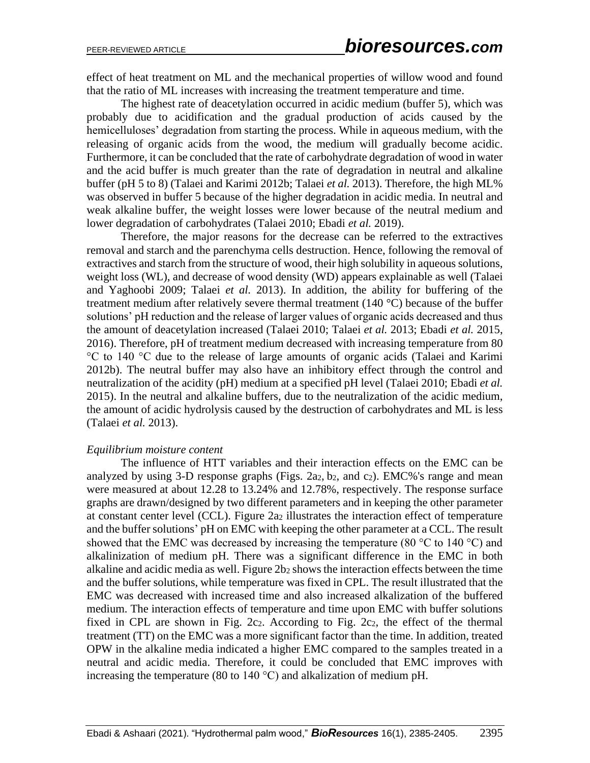effect of heat treatment on ML and the mechanical properties of willow wood and found that the ratio of ML increases with increasing the treatment temperature and time.

The highest rate of deacetylation occurred in acidic medium (buffer 5), which was probably due to acidification and the gradual production of acids caused by the hemicelluloses' degradation from starting the process. While in aqueous medium, with the releasing of organic acids from the wood, the medium will gradually become acidic. Furthermore, it can be concluded that the rate of carbohydrate degradation of wood in water and the acid buffer is much greater than the rate of degradation in neutral and alkaline buffer (pH 5 to 8) (Talaei and Karimi 2012b; Talaei *et al.* 2013). Therefore, the high ML% was observed in buffer 5 because of the higher degradation in acidic media. In neutral and weak alkaline buffer, the weight losses were lower because of the neutral medium and lower degradation of carbohydrates (Talaei 2010; Ebadi *et al.* 2019).

Therefore, the major reasons for the decrease can be referred to the extractives removal and starch and the parenchyma cells destruction. Hence, following the removal of extractives and starch from the structure of wood, their high solubility in aqueous solutions, weight loss (WL), and decrease of wood density (WD) appears explainable as well (Talaei and Yaghoobi 2009; Talaei *et al.* 2013). In addition, the ability for buffering of the treatment medium after relatively severe thermal treatment (140 °C) because of the buffer solutions' pH reduction and the release of larger values of organic acids decreased and thus the amount of deacetylation increased (Talaei 2010; Talaei *et al.* 2013; Ebadi *et al.* 2015, 2016). Therefore, pH of treatment medium decreased with increasing temperature from 80 °С to 140 °С due to the release of large amounts of organic acids (Talaei and Karimi 2012b). The neutral buffer may also have an inhibitory effect through the control and neutralization of the acidity (pH) medium at a specified pH level (Talaei 2010; Ebadi *et al.*  2015). In the neutral and alkaline buffers, due to the neutralization of the acidic medium, the amount of acidic hydrolysis caused by the destruction of carbohydrates and ML is less (Talaei *et al.* 2013).

#### *Equilibrium moisture content*

The influence of HTT variables and their interaction effects on the EMC can be analyzed by using 3-D response graphs (Figs. 2a<sub>2</sub>, b<sub>2</sub>, and c<sub>2</sub>). EMC%'s range and mean were measured at about 12.28 to 13.24% and 12.78%, respectively. The response surface graphs are drawn/designed by two different parameters and in keeping the other parameter at constant center level (CCL). Figure 2a<sup>2</sup> illustrates the interaction effect of temperature and the buffer solutions' pH on EMC with keeping the other parameter at a CCL. The result showed that the EMC was decreased by increasing the temperature (80  $\degree$ C to 140  $\degree$ C) and alkalinization of medium pH. There was a significant difference in the EMC in both alkaline and acidic media as well. Figure 2b<sub>2</sub> shows the interaction effects between the time and the buffer solutions, while temperature was fixed in CPL. The result illustrated that the EMC was decreased with increased time and also increased alkalization of the buffered medium. The interaction effects of temperature and time upon EMC with buffer solutions fixed in CPL are shown in Fig. 2c2. According to Fig. 2c2, the effect of the thermal treatment (TT) on the EMC was a more significant factor than the time. In addition, treated OPW in the alkaline media indicated a higher EMC compared to the samples treated in a neutral and acidic media. Therefore, it could be concluded that EMC improves with increasing the temperature (80 to 140  $^{\circ}$ C) and alkalization of medium pH.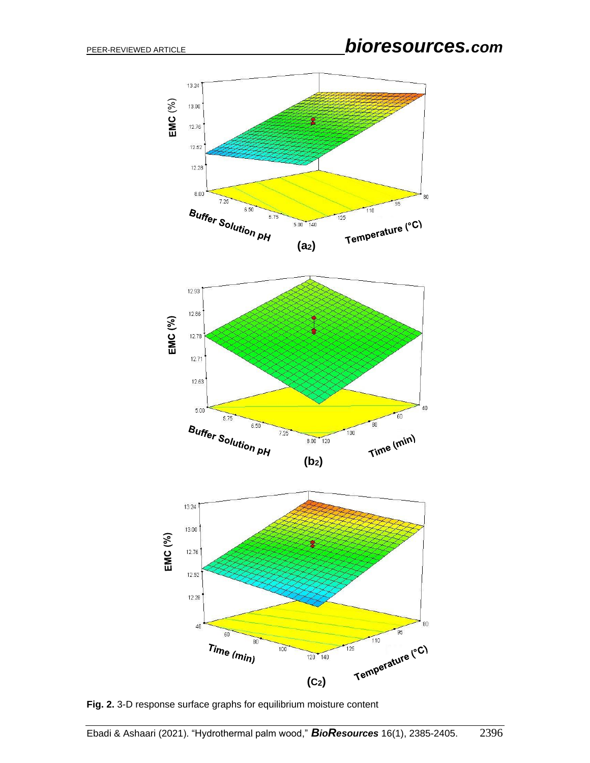

**Fig. 2.** 3-D response surface graphs for equilibrium moisture content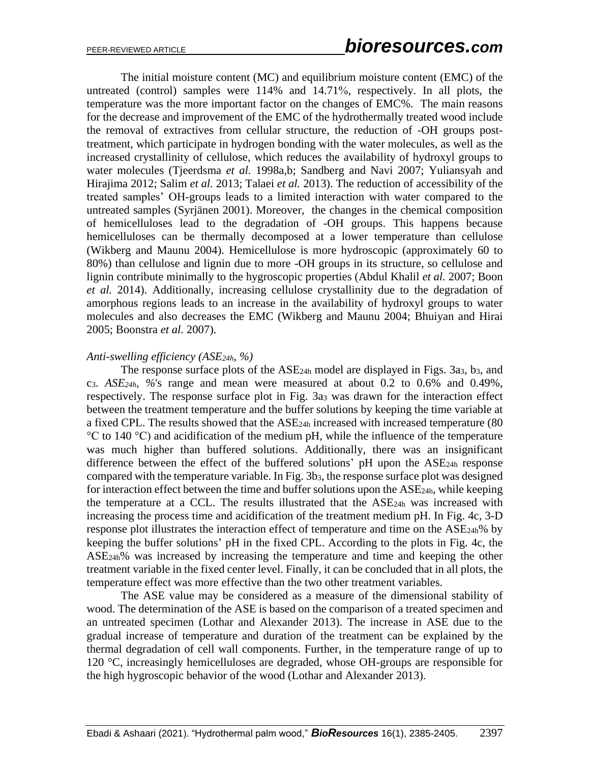The initial moisture content (MC) and equilibrium moisture content (EMC) of the untreated (control) samples were 114% and 14.71%, respectively. In all plots, the temperature was the more important factor on the changes of EMC%. The main reasons for the decrease and improvement of the EMC of the hydrothermally treated wood include the removal of extractives from cellular structure, the reduction of -OH groups posttreatment, which participate in hydrogen bonding with the water molecules, as well as the increased crystallinity of cellulose, which reduces the availability of hydroxyl groups to water molecules (Tjeerdsma *et al.* 1998a,b; Sandberg and Navi 2007; Yuliansyah and Hirajima 2012; Salim *et al.* 2013; Talaei *et al.* 2013). The reduction of accessibility of the treated samples' OH-groups leads to a limited interaction with water compared to the untreated samples (Syrjänen 2001). Moreover, the changes in the chemical composition of hemicelluloses lead to the degradation of -OH groups. This happens because hemicelluloses can be thermally decomposed at a lower temperature than cellulose (Wikberg and Maunu 2004). Hemicellulose is more hydroscopic (approximately 60 to 80%) than cellulose and lignin due to more -OH groups in its structure, so cellulose and lignin contribute minimally to the hygroscopic properties (Abdul Khalil *et al.* 2007; Boon *et al.* 2014). Additionally, increasing cellulose crystallinity due to the degradation of amorphous regions leads to an increase in the availability of hydroxyl groups to water molecules and also decreases the EMC (Wikberg and Maunu 2004; Bhuiyan and Hirai 2005; Boonstra *et al.* 2007).

#### *Anti-swelling efficiency (ASE24h, %)*

The response surface plots of the ASE24h model are displayed in Figs. 3a3, b3, and c3. *ASE24h, %*'s range and mean were measured at about 0.2 to 0.6% and 0.49%, respectively. The response surface plot in Fig. 3a<sub>3</sub> was drawn for the interaction effect between the treatment temperature and the buffer solutions by keeping the time variable at a fixed CPL. The results showed that the ASE24h increased with increased temperature (80 °С to 140 °С) and acidification of the medium pH, while the influence of the temperature was much higher than buffered solutions. Additionally, there was an insignificant difference between the effect of the buffered solutions' pH upon the ASE<sub>24h</sub> response compared with the temperature variable. In Fig. 3b<sub>3</sub>, the response surface plot was designed for interaction effect between the time and buffer solutions upon the ASE24h, while keeping the temperature at a CCL. The results illustrated that the ASE24h was increased with increasing the process time and acidification of the treatment medium pH. In Fig. 4c, 3-D response plot illustrates the interaction effect of temperature and time on the ASE<sub>24h</sub>% by keeping the buffer solutions' pH in the fixed CPL. According to the plots in Fig. 4c, the ASE24h% was increased by increasing the temperature and time and keeping the other treatment variable in the fixed center level. Finally, it can be concluded that in all plots, the temperature effect was more effective than the two other treatment variables.

The ASE value may be considered as a measure of the dimensional stability of wood. The determination of the ASE is based on the comparison of a treated specimen and an untreated specimen (Lothar and Alexander 2013). The increase in ASE due to the gradual increase of temperature and duration of the treatment can be explained by the thermal degradation of cell wall components. Further, in the temperature range of up to 120 °C, increasingly hemicelluloses are degraded, whose OH-groups are responsible for the high hygroscopic behavior of the wood (Lothar and Alexander 2013).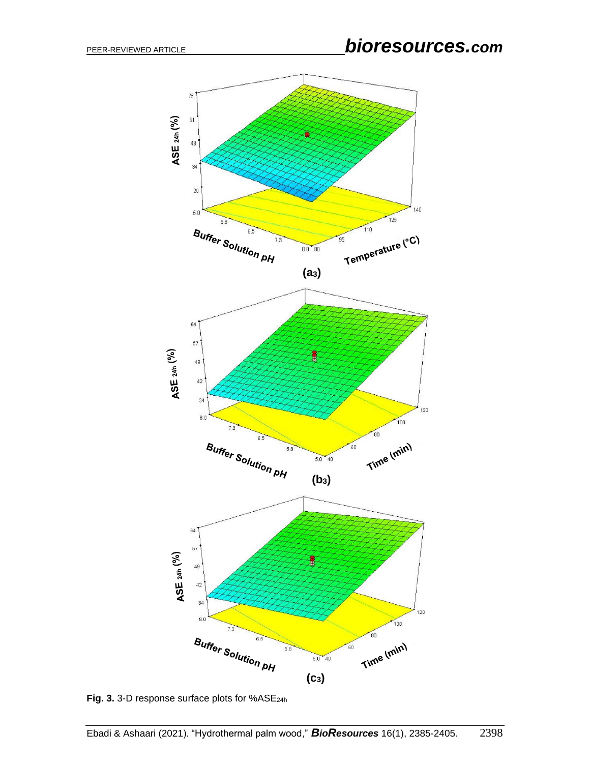

Fig. 3. 3-D response surface plots for %ASE<sub>24h</sub>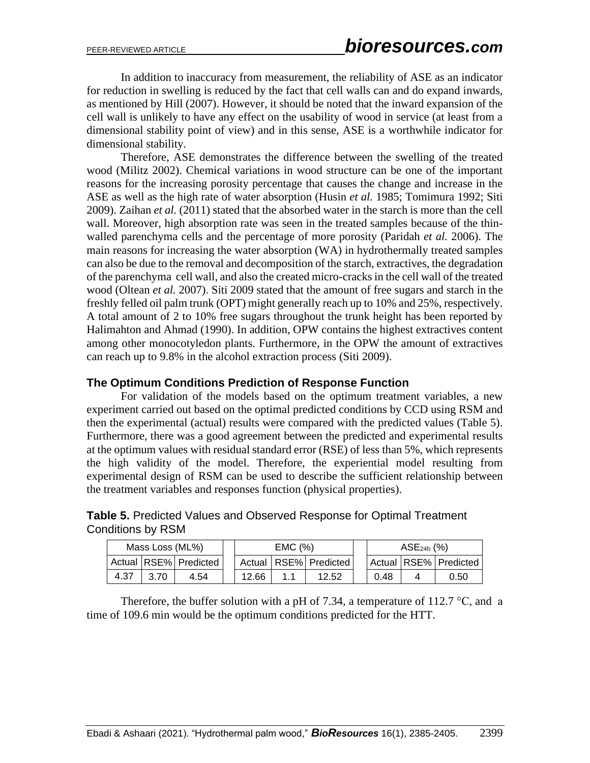In addition to inaccuracy from measurement, the reliability of ASE as an indicator for reduction in swelling is reduced by the fact that cell walls can and do expand inwards, as mentioned by Hill (2007). However, it should be noted that the inward expansion of the cell wall is unlikely to have any effect on the usability of wood in service (at least from a dimensional stability point of view) and in this sense, ASE is a worthwhile indicator for dimensional stability.

Therefore, ASE demonstrates the difference between the swelling of the treated wood (Militz 2002). Chemical variations in wood structure can be one of the important reasons for the increasing porosity percentage that causes the change and increase in the ASE as well as the high rate of water absorption (Husin *et al.* 1985; Tomimura 1992; Siti 2009). Zaihan *et al.* (2011) stated that the absorbed water in the starch is more than the cell wall. Moreover, high absorption rate was seen in the treated samples because of the thinwalled parenchyma cells and the percentage of more porosity (Paridah *et al.* 2006). The main reasons for increasing the water absorption (WA) in hydrothermally treated samples can also be due to the removal and decomposition of the starch, extractives, the degradation of the parenchyma cell wall, and also the created micro-cracks in the cell wall of the treated wood (Oltean *et al.* 2007). Siti 2009 stated that the amount of free sugars and starch in the freshly felled oil palm trunk (OPT) might generally reach up to 10% and 25%, respectively. A total amount of 2 to 10% free sugars throughout the trunk height has been reported by Halimahton and Ahmad (1990). In addition, OPW contains the highest extractives content among other monocotyledon plants. Furthermore, in the OPW the amount of extractives can reach up to 9.8% in the alcohol extraction process (Siti 2009).

#### **The Optimum Conditions Prediction of Response Function**

For validation of the models based on the optimum treatment variables, a new experiment carried out based on the optimal predicted conditions by CCD using RSM and then the experimental (actual) results were compared with the predicted values (Table 5). Furthermore, there was a good agreement between the predicted and experimental results at the optimum values with residual standard error (RSE) of less than 5%, which represents the high validity of the model. Therefore, the experiential model resulting from experimental design of RSM can be used to describe the sufficient relationship between the treatment variables and responses function (physical properties).

| <b>Table 5. Predicted Values and Observed Response for Optimal Treatment</b> |  |
|------------------------------------------------------------------------------|--|
| Conditions by RSM                                                            |  |

| Mass Loss (ML%) |      |                       | EMC(%)                    |  |       |  | $ASE_{24h}$ (%) |  |                       |  |
|-----------------|------|-----------------------|---------------------------|--|-------|--|-----------------|--|-----------------------|--|
|                 |      | Actual RSE% Predicted | Actual   RSE%   Predicted |  |       |  |                 |  | Actual RSE% Predicted |  |
| 4.37            | 3.70 | 4.54                  | 12.66                     |  | 12.52 |  | 0.48            |  | 0.50                  |  |

Therefore, the buffer solution with a pH of 7.34, a temperature of 112.7  $\degree$ C, and a time of 109.6 min would be the optimum conditions predicted for the HTT.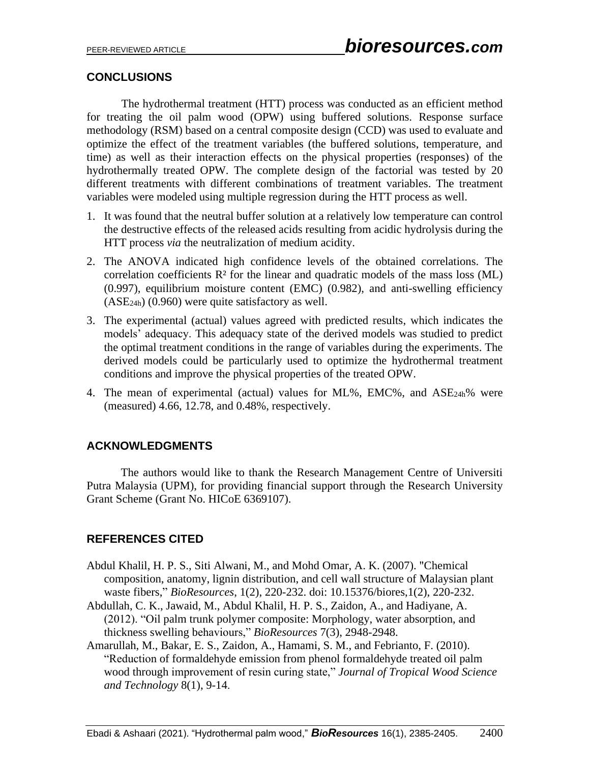## **CONCLUSIONS**

The hydrothermal treatment (HTT) process was conducted as an efficient method for treating the oil palm wood (OPW) using buffered solutions. Response surface methodology (RSM) based on a central composite design (CCD) was used to evaluate and optimize the effect of the treatment variables (the buffered solutions, temperature, and time) as well as their interaction effects on the physical properties (responses) of the hydrothermally treated OPW. The complete design of the factorial was tested by 20 different treatments with different combinations of treatment variables. The treatment variables were modeled using multiple regression during the HTT process as well.

- 1. It was found that the neutral buffer solution at a relatively low temperature can control the destructive effects of the released acids resulting from acidic hydrolysis during the HTT process *via* the neutralization of medium acidity.
- 2. The ANOVA indicated high confidence levels of the obtained correlations. The correlation coefficients  $R<sup>2</sup>$  for the linear and quadratic models of the mass loss (ML) (0.997), equilibrium moisture content (EMC) (0.982), and anti-swelling efficiency (ASE24h) (0.960) were quite satisfactory as well.
- 3. The experimental (actual) values agreed with predicted results, which indicates the models' adequacy. This adequacy state of the derived models was studied to predict the optimal treatment conditions in the range of variables during the experiments. The derived models could be particularly used to optimize the hydrothermal treatment conditions and improve the physical properties of the treated OPW.
- 4. The mean of experimental (actual) values for ML%, EMC%, and ASE24h% were (measured) 4.66, 12.78, and 0.48%, respectively.

## **ACKNOWLEDGMENTS**

The authors would like to thank the Research Management Centre of Universiti Putra Malaysia (UPM), for providing financial support through the Research University Grant Scheme (Grant No. HICoE 6369107).

# **REFERENCES CITED**

- Abdul Khalil, H. P. S., Siti Alwani, M., and Mohd Omar, A. K. (2007). "Chemical composition, anatomy, lignin distribution, and cell wall structure of Malaysian plant waste fibers," *BioResources*, 1(2), 220-232. doi: 10.15376/biores,1(2), 220-232.
- Abdullah, C. K., Jawaid, M., Abdul Khalil, H. P. S., Zaidon, A., and Hadiyane, A. (2012). "Oil palm trunk polymer composite: Morphology, water absorption, and thickness swelling behaviours," *BioResources* 7(3), 2948-2948.
- Amarullah, M., Bakar, E. S., Zaidon, A., Hamami, S. M., and Febrianto, F. (2010). "Reduction of formaldehyde emission from phenol formaldehyde treated oil palm wood through improvement of resin curing state," *Journal of Tropical Wood Science and Technology* 8(1), 9-14.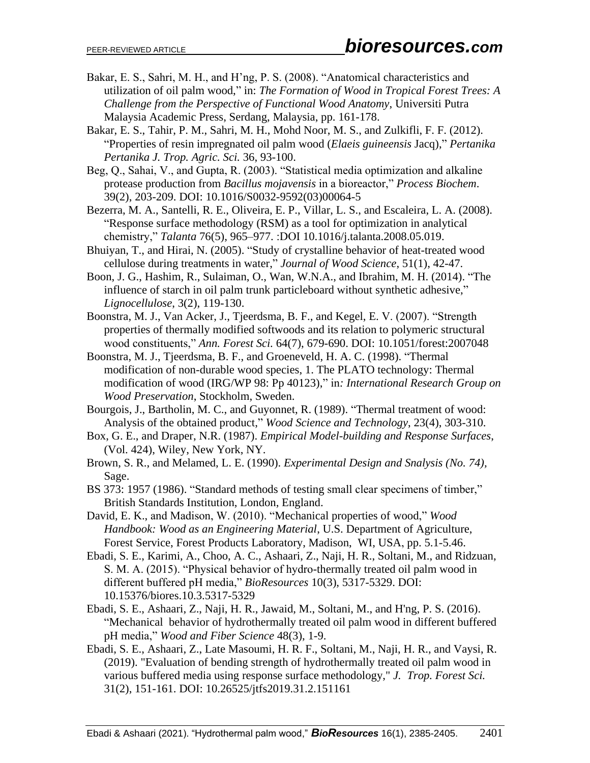- Bakar, E. S., Sahri, M. H., and H'ng, P. S. (2008). "Anatomical characteristics and utilization of oil palm wood," in: *The Formation of Wood in Tropical Forest Trees: A Challenge from the Perspective of Functional Wood Anatomy*, Universiti Putra Malaysia Academic Press, Serdang, Malaysia, pp. 161-178.
- Bakar, E. S., Tahir, P. M., Sahri, M. H., Mohd Noor, M. S., and Zulkifli, F. F. (2012). "Properties of resin impregnated oil palm wood (*Elaeis guineensis* Jacq)," *Pertanika Pertanika J. Trop. Agric. Sci.* 36, 93-100.
- Beg, Q., Sahai, V., and Gupta, R. (2003). "Statistical media optimization and alkaline protease production from *Bacillus mojavensis* in a bioreactor," *Process Biochem*. 39(2), 203-209. DOI: 10.1016/S0032-9592(03)00064-5
- Bezerra, M. A., Santelli, R. E., Oliveira, E. P., Villar, L. S., and Escaleira, L. A. (2008). "Response surface methodology (RSM) as a tool for optimization in analytical chemistry," *Talanta* 76(5), 965–977. :DOI 10.1016/j.talanta.2008.05.019.
- Bhuiyan, T., and Hirai, N. (2005). "Study of crystalline behavior of heat-treated wood cellulose during treatments in water," *Journal of Wood Science*, 51(1), 42-47.
- Boon, J. G., Hashim, R., Sulaiman, O., Wan, W.N.A., and Ibrahim, M. H. (2014). "The influence of starch in oil palm trunk particleboard without synthetic adhesive," *Lignocellulose*, 3(2), 119-130.
- Boonstra, M. J., Van Acker, J., Tjeerdsma, B. F., and Kegel, E. V. (2007). "Strength properties of thermally modified softwoods and its relation to polymeric structural wood constituents," *Ann. Forest Sci.* 64(7), 679-690. DOI: 10.1051/forest:2007048
- Boonstra, M. J., Tjeerdsma, B. F., and Groeneveld, H. A. C. (1998). "Thermal modification of non-durable wood species, 1. The PLATO technology: Thermal modification of wood (IRG/WP 98: Pp 40123)," in*: International Research Group on Wood Preservation*, Stockholm, Sweden.
- Bourgois, J., Bartholin, M. C., and Guyonnet, R. (1989). "Thermal treatment of wood: Analysis of the obtained product," *Wood Science and Technology*, 23(4), 303-310.
- Box, G. E., and Draper, N.R. (1987). *Empirical Model-building and Response Surfaces*, (Vol. 424), Wiley, New York, NY.
- Brown, S. R., and Melamed, L. E. (1990). *Experimental Design and Snalysis (No. 74),* Sage.
- BS 373: 1957 (1986). "Standard methods of testing small clear specimens of timber," British Standards Institution, London, England.
- David, E. K., and Madison, W. (2010). "Mechanical properties of wood," *Wood Handbook: Wood as an Engineering Material*, U.S. Department of Agriculture, Forest Service, Forest Products Laboratory, Madison, WI, USA, pp. 5.1-5.46.
- Ebadi, S. E., Karimi, A., Choo, A. C., Ashaari, Z., Naji, H. R., Soltani, M., and Ridzuan, S. M. A. (2015). "Physical behavior of hydro-thermally treated oil palm wood in different buffered pH media," *BioResources* 10(3), 5317-5329. DOI: 10.15376/biores.10.3.5317-5329
- Ebadi, S. E., Ashaari, Z., Naji, H. R., Jawaid, M., Soltani, M., and H'ng, P. S. (2016). "Mechanical behavior of hydrothermally treated oil palm wood in different buffered pH media," *Wood and Fiber Science* 48(3), 1-9.
- Ebadi, S. E., Ashaari, Z., Late Masoumi, H. R. F., Soltani, M., Naji, H. R., and Vaysi, R. (2019). "Evaluation of bending strength of hydrothermally treated oil palm wood in various buffered media using response surface methodology," *J. Trop. Forest Sci.* 31(2), 151-161. DOI: 10.26525/jtfs2019.31.2.151161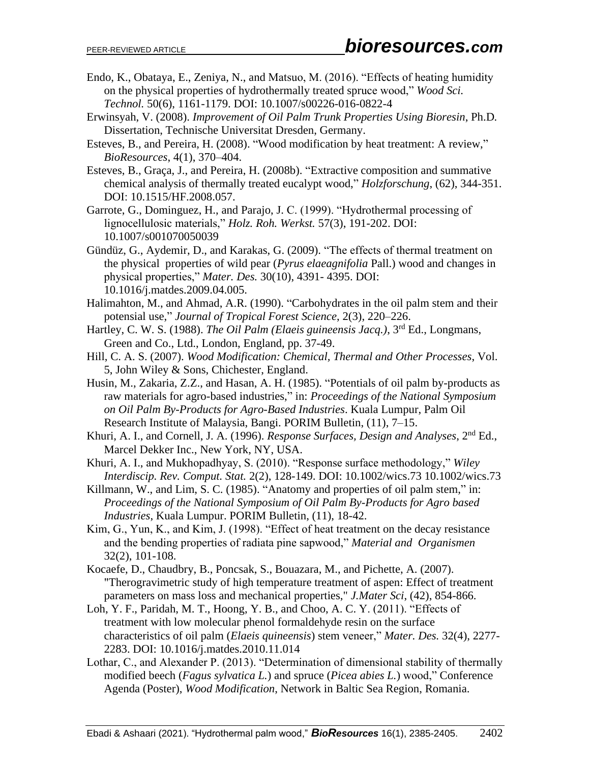- Endo, K., Obataya, E., Zeniya, N., and Matsuo, M. (2016). "Effects of heating humidity on the physical properties of hydrothermally treated spruce wood," *Wood Sci. Technol.* 50(6), 1161-1179. DOI: 10.1007/s00226-016-0822-4
- Erwinsyah, V. (2008). *Improvement of Oil Palm Trunk Properties Using Bioresin*, Ph.D*.*  Dissertation, Technische Universitat Dresden, Germany.
- Esteves, B., and Pereira, H. (2008). "Wood modification by heat treatment: A review," *BioResources*, 4(1), 370–404.
- Esteves, B., Graça, J., and Pereira, H. (2008b). "Extractive composition and summative chemical analysis of thermally treated eucalypt wood," *Holzforschung*, (62), 344-351. DOI: 10.1515/HF.2008.057.

Garrote, G., Dominguez, H., and Parajo, J. C. (1999). "Hydrothermal processing of lignocellulosic materials," *Holz. Roh. Werkst.* 57(3), 191-202. DOI: 10.1007/s001070050039

- Gündüz, G., Aydemir, D., and Karakas, G. (2009). "The effects of thermal treatment on the physical properties of wild pear (*Pyrus elaeagnifolia* Pall.) wood and changes in physical properties," *Mater. Des.* 30(10), 4391- 4395. DOI: 10.1016/j.matdes.2009.04.005.
- Halimahton, M., and Ahmad, A.R. (1990). "Carbohydrates in the oil palm stem and their potensial use," *Journal of Tropical Forest Science*, 2(3), 220–226.
- Hartley, C. W. S. (1988). *The Oil Palm (Elaeis guineensis Jacq.)*, 3<sup>rd</sup> Ed., Longmans, Green and Co., Ltd., London, England, pp. 37-49.
- Hill, C. A. S. (2007). *Wood Modification: Chemical, Thermal and Other Processes*, Vol. 5, John Wiley & Sons, Chichester, England.
- Husin, M., Zakaria, Z.Z., and Hasan, A. H. (1985). "Potentials of oil palm by-products as raw materials for agro-based industries," in: *Proceedings of the National Symposium on Oil Palm By-Products for Agro-Based Industries*. Kuala Lumpur, Palm Oil Research Institute of Malaysia, Bangi. PORIM Bulletin, (11), 7–15.
- Khuri, A. I., and Cornell, J. A. (1996). *Response Surfaces, Design and Analyses*, 2nd Ed., Marcel Dekker Inc., New York, NY, USA.
- Khuri, A. I., and Mukhopadhyay, S. (2010). "Response surface methodology," *Wiley Interdiscip. Rev. Comput. Stat.* 2(2), 128-149. DOI: 10.1002/wics.73 10.1002/wics.73
- Killmann, W., and Lim, S. C. (1985). "Anatomy and properties of oil palm stem," in: *Proceedings of the National Symposium of Oil Palm By-Products for Agro based Industries*, Kuala Lumpur. PORIM Bulletin, (11), 18-42.
- Kim, G., Yun, K., and Kim, J. (1998). "Effect of heat treatment on the decay resistance and the bending properties of radiata pine sapwood," *Material and Organismen*  32(2), 101-108.
- Kocaefe, D., Chaudbry, B., Poncsak, S., Bouazara, M., and Pichette, A. (2007). "Therogravimetric study of high temperature treatment of aspen: Effect of treatment parameters on mass loss and mechanical properties," *J.Mater Sci*, (42), 854-866.
- Loh, Y. F., Paridah, M. T., Hoong, Y. B., and Choo, A. C. Y. (2011). "Effects of treatment with low molecular phenol formaldehyde resin on the surface characteristics of oil palm (*Elaeis quineensis*) stem veneer," *Mater. Des.* 32(4), 2277- 2283. DOI: 10.1016/j.matdes.2010.11.014
- Lothar, C., and Alexander P. (2013). "Determination of dimensional stability of thermally modified beech (*Fagus sylvatica L.*) and spruce (*Picea abies L.*) wood," Conference Agenda (Poster), *Wood Modification*, Network in Baltic Sea Region, Romania.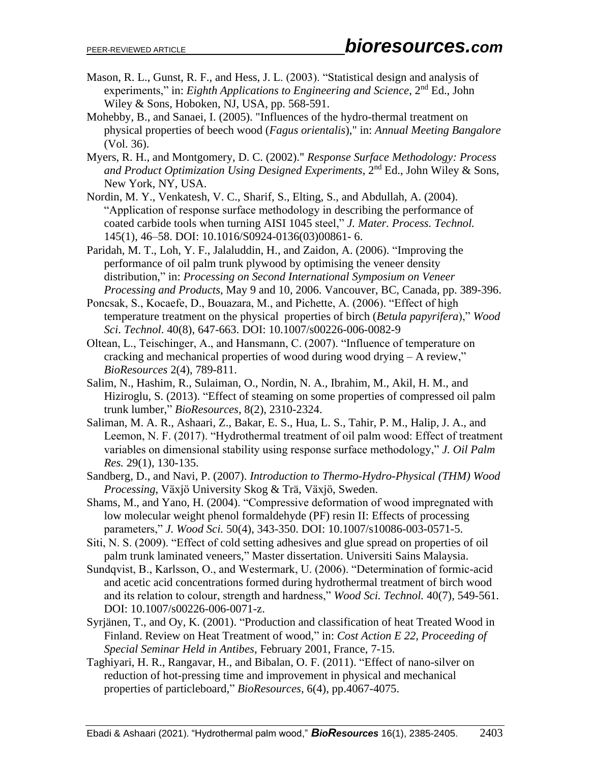- Mason, R. L., Gunst, R. F., and Hess, J. L. (2003). "Statistical design and analysis of experiments," in: *Eighth Applications to Engineering and Science*, 2<sup>nd</sup> Ed., John Wiley & Sons, Hoboken, NJ, USA, pp. 568-591.
- Mohebby, B., and Sanaei, I. (2005). "Influences of the hydro-thermal treatment on physical properties of beech wood (*Fagus orientalis*)," in: *Annual Meeting Bangalore* (Vol. 36).
- Myers, R. H., and Montgomery, D. C. (2002)." *Response Surface Methodology: Process*  and Product Optimization Using Designed Experiments, 2<sup>nd</sup> Ed., John Wiley & Sons, New York, NY, USA.
- Nordin, M. Y., Venkatesh, V. C., Sharif, S., Elting, S., and Abdullah, A. (2004). "Application of response surface methodology in describing the performance of coated carbide tools when turning AISI 1045 steel," *J. Mater. Process. Technol.* 145(1), 46–58. [DOI:](https://doi/) 10.1016/S0924-0136(03)00861- 6.
- Paridah, M. T., Loh, Y. F., Jalaluddin, H., and Zaidon, A. (2006). "Improving the performance of oil palm trunk plywood by optimising the veneer density distribution," in: *Processing on Second International Symposium on Veneer Processing and Products*, May 9 and 10, 2006. Vancouver, BC, Canada, pp. 389-396.
- Poncsak, S., Kocaefe, D., Bouazara, M., and Pichette, A. (2006). "Effect of high temperature treatment on the physical properties of birch (*Betula papyrifera*)," *Wood Sci*. *Technol*. 40(8), 647-663. DOI: 10.1007/s00226-006-0082-9
- Oltean, L., Teischinger, A., and Hansmann, C. (2007). "Influence of temperature on cracking and mechanical properties of wood during wood drying – A review," *BioResources* 2(4), 789-811.
- Salim, N., Hashim, R., Sulaiman, O., Nordin, N. A., Ibrahim, M., Akil, H. M., and Hiziroglu, S. (2013). "Effect of steaming on some properties of compressed oil palm trunk lumber," *BioResources*, 8(2), 2310-2324.
- Saliman, M. A. R., Ashaari, Z., Bakar, E. S., Hua, L. S., Tahir, P. M., Halip, J. A., and Leemon, N. F. (2017). "Hydrothermal treatment of oil palm wood: Effect of treatment variables on dimensional stability using response surface methodology," *J. Oil Palm Res.* 29(1), 130-135.
- Sandberg, D., and Navi, P. (2007). *Introduction to Thermo-Hydro-Physical (THM) Wood Processing*, Växjö University Skog & Trä, Växjö, Sweden.
- Shams, M., and Yano, H. (2004). "Compressive deformation of wood impregnated with low molecular weight phenol formaldehyde (PF) resin II: Effects of processing parameters," *J. Wood Sci.* 50(4), 343-350. DOI: 10.1007/s10086-003-0571-5.
- Siti, N. S. (2009). "Effect of cold setting adhesives and glue spread on properties of oil palm trunk laminated veneers," Master dissertation. Universiti Sains Malaysia.
- Sundqvist, B., Karlsson, O., and Westermark, U. (2006). "Determination of formic-acid and acetic acid concentrations formed during hydrothermal treatment of birch wood and its relation to colour, strength and hardness," *Wood Sci. Technol.* 40(7), 549-561. DOI: 10.1007/s00226-006-0071-z.
- Syrjänen, T., and Oy, K. (2001). "Production and classification of heat Treated Wood in Finland. Review on Heat Treatment of wood," in: *Cost Action E 22, Proceeding of Special Seminar Held in Antibes*, February 2001, France, 7-15.
- Taghiyari, H. R., Rangavar, H., and Bibalan, O. F. (2011). "Effect of nano-silver on reduction of hot-pressing time and improvement in physical and mechanical properties of particleboard," *BioResources*, 6(4), pp.4067-4075.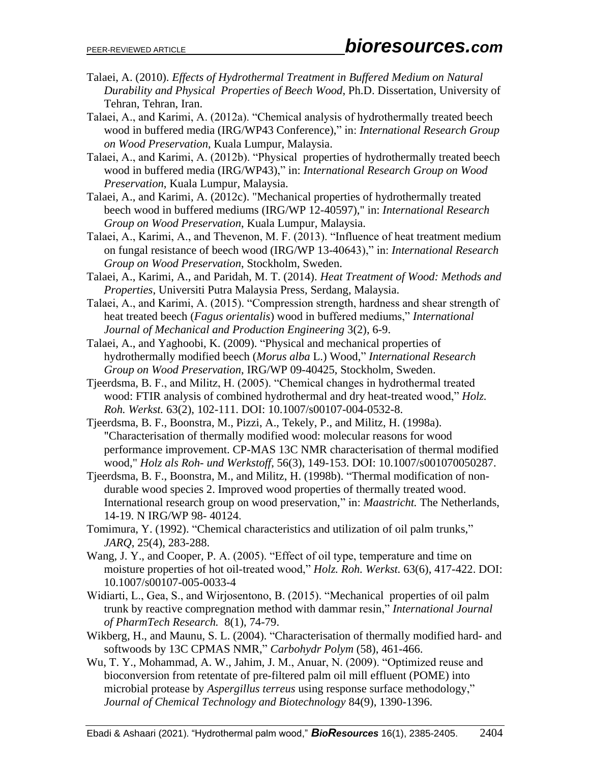- Talaei, A. (2010). *Effects of Hydrothermal Treatment in Buffered Medium on Natural Durability and Physical Properties of Beech Wood*, Ph.D. Dissertation, University of Tehran, Tehran, Iran.
- Talaei, A., and Karimi, A. (2012a). "Chemical analysis of hydrothermally treated beech wood in buffered media (IRG/WP43 Conference)," in: *International Research Group on Wood Preservation*, Kuala Lumpur, Malaysia.
- Talaei, A., and Karimi, A. (2012b). "Physical properties of hydrothermally treated beech wood in buffered media (IRG/WP43)," in: *International Research Group on Wood Preservation*, Kuala Lumpur, Malaysia.
- Talaei, A., and Karimi, A. (2012c). "Mechanical properties of hydrothermally treated beech wood in buffered mediums (IRG/WP 12-40597)," in: *International Research Group on Wood Preservation*, Kuala Lumpur, Malaysia.
- Talaei, A., Karimi, A., and Thevenon, M. F. (2013). "Influence of heat treatment medium on fungal resistance of beech wood (IRG/WP 13-40643)," in: *International Research Group on Wood Preservation*, Stockholm, Sweden.
- Talaei, A., Karimi, A., and Paridah, M. T. (2014). *Heat Treatment of Wood: Methods and Properties*, Universiti Putra Malaysia Press, Serdang, Malaysia.
- Talaei, A., and Karimi, A. (2015). "Compression strength, hardness and shear strength of heat treated beech (*Fagus orientalis*) wood in buffered mediums," *International Journal of Mechanical and Production Engineering* 3(2), 6-9.
- Talaei, A., and Yaghoobi, K. (2009). "Physical and mechanical properties of hydrothermally modified beech (*Morus alba* L.) Wood," *International Research Group on Wood Preservation*, IRG/WP 09-40425, Stockholm, Sweden.
- Tjeerdsma, B. F., and Militz, H. (2005). "Chemical changes in hydrothermal treated wood: FTIR analysis of combined hydrothermal and dry heat-treated wood," *Holz. Roh. Werkst.* 63(2), 102-111. DOI: 10.1007/s00107-004-0532-8.
- Tjeerdsma, B. F., Boonstra, M., Pizzi, A., Tekely, P., and Militz, H. (1998a). "Characterisation of thermally modified wood: molecular reasons for wood performance improvement. CP-MAS 13C NMR characterisation of thermal modified wood," *Holz als Roh- und Werkstoff*, 56(3), 149-153. DOI: 10.1007/s001070050287.
- Tjeerdsma, B. F., Boonstra, M., and Militz, H. (1998b). "Thermal modification of nondurable wood species 2. Improved wood properties of thermally treated wood. International research group on wood preservation," in: *Maastricht.* The Netherlands, 14-19. N IRG/WP 98- 40124.
- Tomimura, Y. (1992). "Chemical characteristics and utilization of oil palm trunks," *JARQ*, 25(4), 283-288.
- Wang, J. Y., and Cooper, P. A. (2005). "Effect of oil type, temperature and time on moisture properties of hot oil-treated wood," *Holz. Roh. Werkst.* 63(6), 417-422. DOI: 10.1007/s00107-005-0033-4
- Widiarti, L., Gea, S., and Wirjosentono, B. (2015). "Mechanical properties of oil palm trunk by reactive compregnation method with dammar resin," *International Journal of PharmTech Research.* 8(1), 74-79.
- Wikberg, H., and Maunu, S. L. (2004). "Characterisation of thermally modified hard- and softwoods by 13C CPMAS NMR," *Carbohydr Polym* (58), 461-466.
- Wu, T. Y., Mohammad, A. W., Jahim, J. M., Anuar, N. (2009). "Optimized reuse and bioconversion from retentate of pre-filtered palm oil mill effluent (POME) into microbial protease by *Aspergillus terreus* using response surface methodology," *Journal of Chemical Technology and Biotechnology* 84(9), 1390-1396.